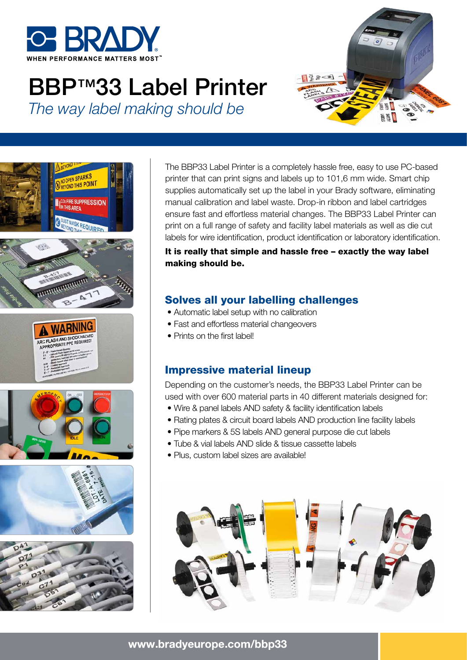

**SPARKS** 

# BBP™33 Label Printer *The way label making should be*









The BBP33 Label Printer is a completely hassle free, easy to use PC-based printer that can print signs and labels up to 101,6 mm wide. Smart chip supplies automatically set up the label in your Brady software, eliminating manual calibration and label waste. Drop-in ribbon and label cartridges ensure fast and effortless material changes. The BBP33 Label Printer can print on a full range of safety and facility label materials as well as die cut labels for wire identification, product identification or laboratory identification.

It is really that simple and hassle free – exactly the way label making should be.

### Solves all your labelling challenges

- Automatic label setup with no calibration
- Fast and effortless material changeovers
- Prints on the first label!

## Impressive material lineup

Depending on the customer's needs, the BBP33 Label Printer can be used with over 600 material parts in 40 different materials designed for:

- Wire & panel labels AND safety & facility identification labels
- Rating plates & circuit board labels AND production line facility labels
- Pipe markers & 5S labels AND general purpose die cut labels
- Tube & vial labels AND slide & tissue cassette labels
- Plus, custom label sizes are available!